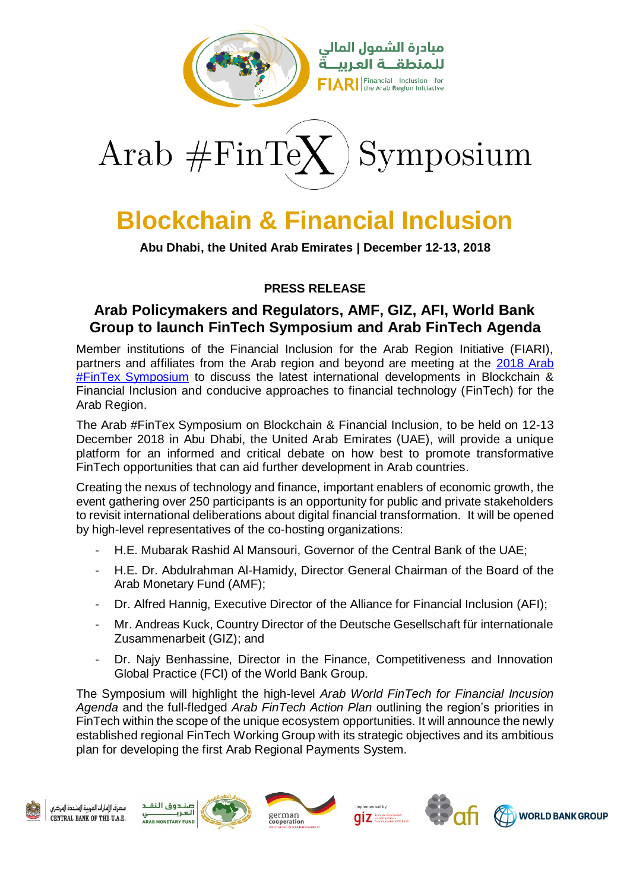

Arab  $\#\text{FinTe}$ Symposium

## **Blockchain & Financial Inclusion**

**Abu Dhabi, the United Arab Emirates | December 12-13, 2018**

## **PRESS RELEASE**

## **Arab Policymakers and Regulators, AMF, GIZ, AFI, World Bank Group to launch FinTech Symposium and Arab FinTech Agenda**

Member institutions of the Financial Inclusion for the Arab Region Initiative (FIARI), partners and affiliates from the Arab region and beyond are meeting at the 2018 Arab **[#FinTex Symposium](http://www.fiari.org/arabfintex/)** to discuss the latest international developments in Blockchain & Financial Inclusion and conducive approaches to financial technology (FinTech) for the Arab Region.

The Arab #FinTex Symposium on Blockchain & Financial Inclusion, to be held on 12-13 December 2018 in Abu Dhabi, the United Arab Emirates (UAE), will provide a unique platform for an informed and critical debate on how best to promote transformative FinTech opportunities that can aid further development in Arab countries.

Creating the nexus of technology and finance, important enablers of economic growth, the event gathering over 250 participants is an opportunity for public and private stakeholders to revisit international deliberations about digital financial transformation. It will be opened by high-level representatives of the co-hosting organizations:

- H.E. Mubarak Rashid Al Mansouri, Governor of the Central Bank of the UAE;
- H.E. Dr. Abdulrahman Al-Hamidy, Director General Chairman of the Board of the Arab Monetary Fund (AMF);
- Dr. Alfred Hannig, Executive Director of the Alliance for Financial Inclusion (AFI);
- Mr. Andreas Kuck, Country Director of the Deutsche Gesellschaft für internationale Zusammenarbeit (GIZ); and
- Dr. Najy Benhassine, Director in the Finance, Competitiveness and Innovation Global Practice (FCI) of the World Bank Group.

The Symposium will highlight the high-level *Arab World FinTech for Financial Incusion Agenda* and the full-fledged *Arab FinTech Action Plan* outlining the region's priorities in FinTech within the scope of the unique ecosystem opportunities. It will announce the newly established regional FinTech Working Group with its strategic objectives and its ambitious plan for developing the first Arab Regional Payments System.